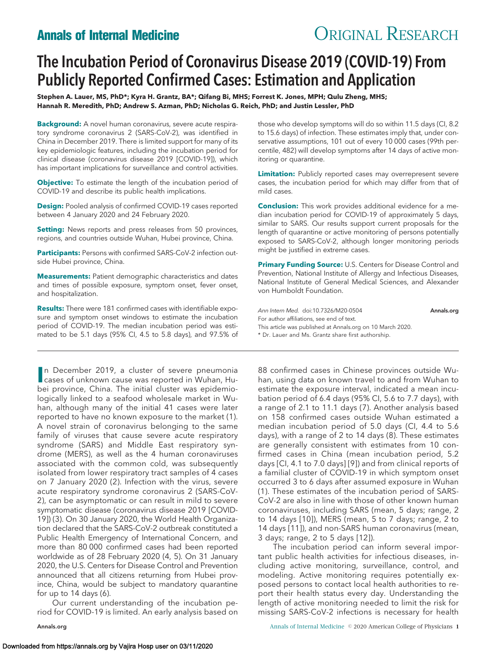# **Annals of Internal Medicine CRIGINAL RESEARCH**

## The Incubation Period of Coronavirus Disease 2019 (COVID-19) From Publicly Reported Confirmed Cases: Estimation and Application

**Stephen A. Lauer, MS, PhD\*; Kyra H. Grantz, BA\*; Qifang Bi, MHS; Forrest K. Jones, MPH; Qulu Zheng, MHS; Hannah R. Meredith, PhD; Andrew S. Azman, PhD; Nicholas G. Reich, PhD; and Justin Lessler, PhD**

**Background:** A novel human coronavirus, severe acute respiratory syndrome coronavirus 2 (SARS-CoV-2), was identified in China in December 2019. There is limited support for many of its key epidemiologic features, including the incubation period for clinical disease (coronavirus disease 2019 [COVID-19]), which has important implications for surveillance and control activities.

**Objective:** To estimate the length of the incubation period of COVID-19 and describe its public health implications.

**Design:** Pooled analysis of confirmed COVID-19 cases reported between 4 January 2020 and 24 February 2020.

**Setting:** News reports and press releases from 50 provinces, regions, and countries outside Wuhan, Hubei province, China.

**Participants:** Persons with confirmed SARS-CoV-2 infection outside Hubei province, China.

**Measurements:** Patient demographic characteristics and dates and times of possible exposure, symptom onset, fever onset, and hospitalization.

**Results:** There were 181 confirmed cases with identifiable exposure and symptom onset windows to estimate the incubation period of COVID-19. The median incubation period was estimated to be 5.1 days (95% CI, 4.5 to 5.8 days), and 97.5% of

**I** In December 2019, a cluster of severe pneumonia<br>
cases of unknown cause was reported in Wuhan, Hucases of unknown cause was reported in Wuhan, Hubei province, China. The initial cluster was epidemiologically linked to a seafood wholesale market in Wuhan, although many of the initial 41 cases were later reported to have no known exposure to the market (1). A novel strain of coronavirus belonging to the same family of viruses that cause severe acute respiratory syndrome (SARS) and Middle East respiratory syndrome (MERS), as well as the 4 human coronaviruses associated with the common cold, was subsequently isolated from lower respiratory tract samples of 4 cases on 7 January 2020 (2). Infection with the virus, severe acute respiratory syndrome coronavirus 2 (SARS-CoV-2), can be asymptomatic or can result in mild to severe symptomatic disease (coronavirus disease 2019 [COVID-19]) (3). On 30 January 2020, the World Health Organization declared that the SARS-CoV-2 outbreak constituted a Public Health Emergency of International Concern, and more than 80 000 confirmed cases had been reported worldwide as of 28 February 2020 (4, 5). On 31 January 2020, the U.S. Centers for Disease Control and Prevention announced that all citizens returning from Hubei province, China, would be subject to mandatory quarantine for up to 14 days (6).

Our current understanding of the incubation period for COVID-19 is limited. An early analysis based on

those who develop symptoms will do so within 11.5 days (CI, 8.2 to 15.6 days) of infection. These estimates imply that, under conservative assumptions, 101 out of every 10 000 cases (99th percentile, 482) will develop symptoms after 14 days of active monitoring or quarantine.

**Limitation:** Publicly reported cases may overrepresent severe cases, the incubation period for which may differ from that of mild cases.

**Conclusion:** This work provides additional evidence for a median incubation period for COVID-19 of approximately 5 days, similar to SARS. Our results support current proposals for the length of quarantine or active monitoring of persons potentially exposed to SARS-CoV-2, although longer monitoring periods might be justified in extreme cases.

**Primary Funding Source:** U.S. Centers for Disease Control and Prevention, National Institute of Allergy and Infectious Diseases, National Institute of General Medical Sciences, and Alexander von Humboldt Foundation.

Ann Intern Med. doi:10.7326/M20-0504 [Annals.org](http://www.annals.org) For author affiliations, see end of text. This article was published at [Annals.org](http://www.annals.org) on 10 March 2020. \* Dr. Lauer and Ms. Grantz share first authorship.

88 confirmed cases in Chinese provinces outside Wuhan, using data on known travel to and from Wuhan to estimate the exposure interval, indicated a mean incubation period of 6.4 days (95% CI, 5.6 to 7.7 days), with a range of 2.1 to 11.1 days (7). Another analysis based on 158 confirmed cases outside Wuhan estimated a median incubation period of 5.0 days (CI, 4.4 to 5.6 days), with a range of 2 to 14 days (8). These estimates are generally consistent with estimates from 10 confirmed cases in China (mean incubation period, 5.2 days [CI, 4.1 to 7.0 days] [9]) and from clinical reports of a familial cluster of COVID-19 in which symptom onset occurred 3 to 6 days after assumed exposure in Wuhan (1). These estimates of the incubation period of SARS-CoV-2 are also in line with those of other known human coronaviruses, including SARS (mean, 5 days; range, 2 to 14 days [10]), MERS (mean, 5 to 7 days; range, 2 to 14 days [11]), and non-SARS human coronavirus (mean, 3 days; range, 2 to 5 days [12]).

The incubation period can inform several important public health activities for infectious diseases, including active monitoring, surveillance, control, and modeling. Active monitoring requires potentially exposed persons to contact local health authorities to report their health status every day. Understanding the length of active monitoring needed to limit the risk for missing SARS-CoV-2 infections is necessary for health

[Annals.org](http://www.annals.org) **Annals of Internal Medicine © 2020 American College of Physicians 1**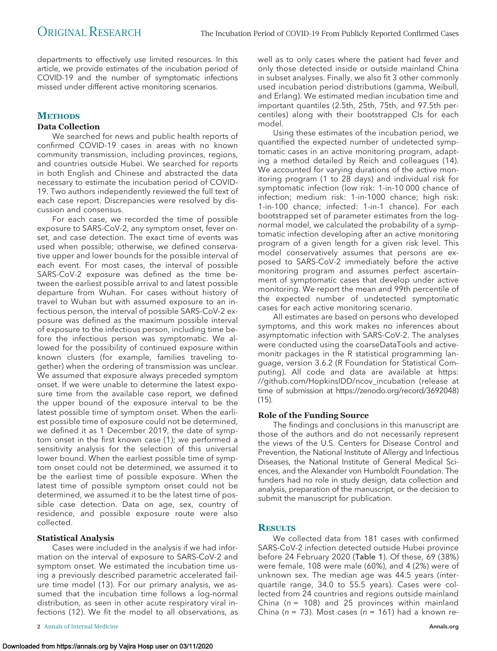departments to effectively use limited resources. In this article, we provide estimates of the incubation period of COVID-19 and the number of symptomatic infections missed under different active monitoring scenarios.

## **METHODS**

#### **Data Collection**

We searched for news and public health reports of confirmed COVID-19 cases in areas with no known community transmission, including provinces, regions, and countries outside Hubei. We searched for reports in both English and Chinese and abstracted the data necessary to estimate the incubation period of COVID-19. Two authors independently reviewed the full text of each case report. Discrepancies were resolved by discussion and consensus.

For each case, we recorded the time of possible exposure to SARS-CoV-2, any symptom onset, fever onset, and case detection. The exact time of events was used when possible; otherwise, we defined conservative upper and lower bounds for the possible interval of each event. For most cases, the interval of possible SARS-CoV-2 exposure was defined as the time between the earliest possible arrival to and latest possible departure from Wuhan. For cases without history of travel to Wuhan but with assumed exposure to an infectious person, the interval of possible SARS-CoV-2 exposure was defined as the maximum possible interval of exposure to the infectious person, including time before the infectious person was symptomatic. We allowed for the possibility of continued exposure within known clusters (for example, families traveling together) when the ordering of transmission was unclear. We assumed that exposure always preceded symptom onset. If we were unable to determine the latest exposure time from the available case report, we defined the upper bound of the exposure interval to be the latest possible time of symptom onset. When the earliest possible time of exposure could not be determined, we defined it as 1 December 2019, the date of symptom onset in the first known case (1); we performed a sensitivity analysis for the selection of this universal lower bound. When the earliest possible time of symptom onset could not be determined, we assumed it to be the earliest time of possible exposure. When the latest time of possible symptom onset could not be determined, we assumed it to be the latest time of possible case detection. Data on age, sex, country of residence, and possible exposure route were also collected.

#### **Statistical Analysis**

Cases were included in the analysis if we had information on the interval of exposure to SARS-CoV-2 and symptom onset. We estimated the incubation time using a previously described parametric accelerated failure time model (13). For our primary analysis, we assumed that the incubation time follows a log-normal distribution, as seen in other acute respiratory viral infections (12). We fit the model to all observations, as

**2** Annals of Internal Medicine **[Annals.org](http://www.annals.org) 2** Annals.org **2** Annals.org **2** Annals.org **2** Annals.org **2** Annals.org **2** Annals.org **2** Annals.org **2** Annals.org **2** Annals.org **2** Annals.org **2** Annals.org **2** Annals.o

Using these estimates of the incubation period, we quantified the expected number of undetected symptomatic cases in an active monitoring program, adapting a method detailed by Reich and colleagues (14). We accounted for varying durations of the active monitoring program (1 to 28 days) and individual risk for symptomatic infection (low risk: 1-in-10 000 chance of infection; medium risk: 1-in-1000 chance; high risk: 1-in-100 chance; infected: 1-in-1 chance). For each bootstrapped set of parameter estimates from the lognormal model, we calculated the probability of a symptomatic infection developing after an active monitoring program of a given length for a given risk level. This model conservatively assumes that persons are exposed to SARS-CoV-2 immediately before the active monitoring program and assumes perfect ascertainment of symptomatic cases that develop under active monitoring. We report the mean and 99th percentile of the expected number of undetected symptomatic cases for each active monitoring scenario.

All estimates are based on persons who developed symptoms, and this work makes no inferences about asymptomatic infection with SARS-CoV-2. The analyses were conducted using the coarseDataTools and activemonitr packages in the R statistical programming language, version 3.6.2 (R Foundation for Statistical Computing). All code and data are available at [https:](https://github.com/HopkinsIDD/ncov_incubation) [//github.com/HopkinsIDD/ncov\\_incubation](https://github.com/HopkinsIDD/ncov_incubation) (release at time of submission at [https://zenodo.org/record/3692048\)](https://zenodo.org/record/3692048) (15).

#### **Role of the Funding Source**

The findings and conclusions in this manuscript are those of the authors and do not necessarily represent the views of the U.S. Centers for Disease Control and Prevention, the National Institute of Allergy and Infectious Diseases, the National Institute of General Medical Sciences, and the Alexander von Humboldt Foundation. The funders had no role in study design, data collection and analysis, preparation of the manuscript, or the decision to submit the manuscript for publication.

### **RESULTS**

We collected data from 181 cases with confirmed SARS-CoV-2 infection detected outside Hubei province before 24 February 2020 (Table 1). Of these, 69 (38%) were female, 108 were male (60%), and 4 (2%) were of unknown sex. The median age was 44.5 years (interquartile range, 34.0 to 55.5 years). Cases were collected from 24 countries and regions outside mainland China ( $n = 108$ ) and 25 provinces within mainland China (n = 73). Most cases (n = 161) had a known re-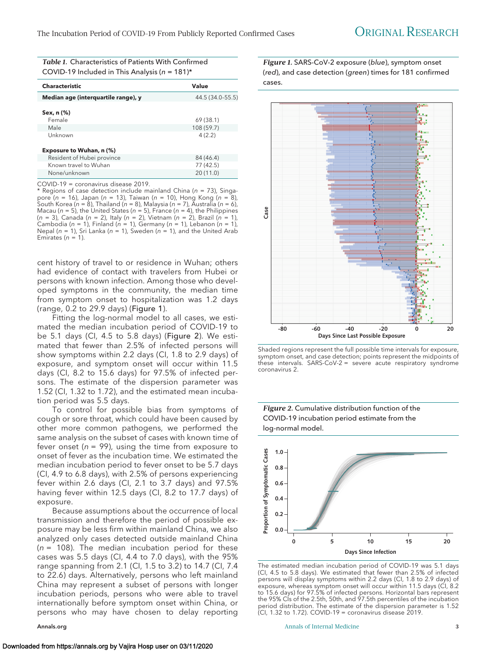*Table 1.* Characteristics of Patients With Confirmed COVID-19 Included in This Analysis ( $n = 181$ )\*

| <b>Characteristic</b>               | Value            |
|-------------------------------------|------------------|
| Median age (interquartile range), y | 44.5 (34.0-55.5) |
| Sex, n (%)<br>Female                | 69 (38.1)        |
| Male                                | 108 (59.7)       |
| Unknown                             | 4(2.2)           |
| Exposure to Wuhan, n (%)            |                  |
| Resident of Hubei province          | 84 (46.4)        |
| Known travel to Wuhan               | 77 (42.5)        |
| None/unknown                        | 20(11.0)         |

COVID-19 = coronavirus disease 2019.

 $*$  Regions of case detection include mainland China ( $n = 73$ ), Singapore (n = 16), Japan (n = 13), Taiwan (n = 10), Hong Kong (n = 8), South Korea (n = 8), Thailand (n = 8), Malaysia (n = 7), Australia (n = 6), Macau ( $n = 5$ ), the United States ( $n = 5$ ), France ( $n = 4$ ), the Philippines (n = 3), Canada (n = 2), Italy (n = 2), Vietnam (n = 2), Brazil (n = 1), Cambodia (n = 1), Finland (n = 1), Germany (n = 1), Lebanon (n = 1), Nepal ( $n = 1$ ), Sri Lanka ( $n = 1$ ), Sweden ( $n = 1$ ), and the United Arab Emirates ( $n = 1$ ).

cent history of travel to or residence in Wuhan; others had evidence of contact with travelers from Hubei or persons with known infection. Among those who developed symptoms in the community, the median time from symptom onset to hospitalization was 1.2 days (range, 0.2 to 29.9 days) (Figure 1).

Fitting the log-normal model to all cases, we estimated the median incubation period of COVID-19 to be 5.1 days (CI, 4.5 to 5.8 days) (Figure 2). We estimated that fewer than 2.5% of infected persons will show symptoms within 2.2 days (CI, 1.8 to 2.9 days) of exposure, and symptom onset will occur within 11.5 days (CI, 8.2 to 15.6 days) for 97.5% of infected persons. The estimate of the dispersion parameter was 1.52 (CI, 1.32 to 1.72), and the estimated mean incubation period was 5.5 days.

To control for possible bias from symptoms of cough or sore throat, which could have been caused by other more common pathogens, we performed the same analysis on the subset of cases with known time of fever onset ( $n = 99$ ), using the time from exposure to onset of fever as the incubation time. We estimated the median incubation period to fever onset to be 5.7 days (CI, 4.9 to 6.8 days), with 2.5% of persons experiencing fever within 2.6 days (CI, 2.1 to 3.7 days) and 97.5% having fever within 12.5 days (CI, 8.2 to 17.7 days) of exposure.

Because assumptions about the occurrence of local transmission and therefore the period of possible exposure may be less firm within mainland China, we also analyzed only cases detected outside mainland China  $(n = 108)$ . The median incubation period for these cases was 5.5 days (CI, 4.4 to 7.0 days), with the 95% range spanning from 2.1 (CI, 1.5 to 3.2) to 14.7 (CI, 7.4 to 22.6) days. Alternatively, persons who left mainland China may represent a subset of persons with longer incubation periods, persons who were able to travel internationally before symptom onset within China, or persons who may have chosen to delay reporting

*Figure 1.* SARS-CoV-2 exposure (blue), symptom onset (red), and case detection (green) times for 181 confirmed cases.



Shaded regions represent the full possible time intervals for exposure, symptom onset, and case detection; points represent the midpoints of these intervals. SARS-CoV-2 = severe acute respiratory syndrome coronavirus 2.

*Figure 2.* Cumulative distribution function of the



The estimated median incubation period of COVID-19 was 5.1 days (CI, 4.5 to 5.8 days). We estimated that fewer than 2.5% of infected persons will display symptoms within 2.2 days (CI, 1.8 to 2.9 days) of exposure, whereas symptom onset will occur within 11.5 days (CI, 8.2 to 15.6 days) for 97.5% of infected persons. Horizontal bars represent the 95% CIs of the 2.5th, 50th, and 97.5th percentiles of the incubation period distribution. The estimate of the dispersion parameter is 1.52 (CI, 1.32 to 1.72). COVID-19 = coronavirus disease 2019.

[Annals.org](http://www.annals.org) **Annals of Internal Medicine** 3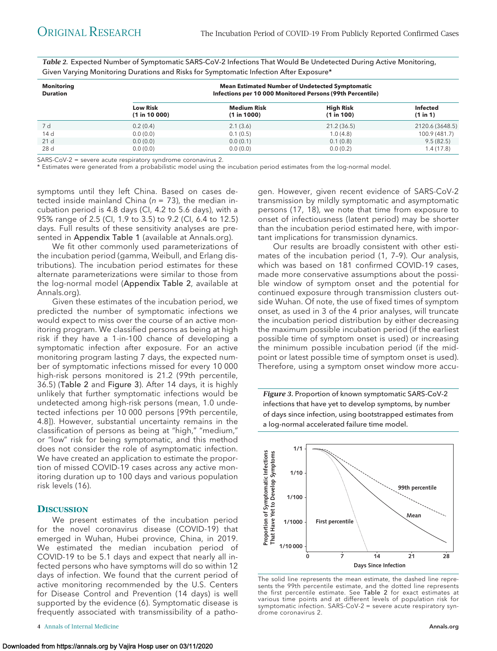*Table 2.* Expected Number of Symptomatic SARS-CoV-2 Infections That Would Be Undetected During Active Monitoring, Given Varying Monitoring Durations and Risks for Symptomatic Infection After Exposure\*

| <b>Monitoring</b><br><b>Duration</b> | <b>Mean Estimated Number of Undetected Symptomatic</b><br>Infections per 10 000 Monitored Persons (99th Percentile) |                                   |                                |                             |
|--------------------------------------|---------------------------------------------------------------------------------------------------------------------|-----------------------------------|--------------------------------|-----------------------------|
|                                      | <b>Low Risk</b><br>(1 in 10 000)                                                                                    | <b>Medium Risk</b><br>(1 in 1000) | <b>High Risk</b><br>(1 in 100) | <b>Infected</b><br>(1 in 1) |
| 7 d                                  | 0.2(0.4)                                                                                                            | 2.1(3.6)                          | 21.2(36.5)                     | 2120.6 (3648.5)             |
| 14 d                                 | 0.0(0.0)                                                                                                            | 0.1(0.5)                          | 1.0(4.8)                       | 100.9 (481.7)               |
| 21 d                                 | 0.0(0.0)                                                                                                            | 0.0(0.1)                          | 0.1(0.8)                       | 9.5(82.5)                   |
| 28 d                                 | 0.0(0.0)                                                                                                            | 0.0(0.0)                          | 0.0(0.2)                       | 1.4(17.8)                   |

SARS-CoV-2 = severe acute respiratory syndrome coronavirus 2.

\* Estimates were generated from a probabilistic model using the incubation period estimates from the log-normal model.

symptoms until they left China. Based on cases detected inside mainland China ( $n = 73$ ), the median incubation period is 4.8 days (CI, 4.2 to 5.6 days), with a 95% range of 2.5 (CI, 1.9 to 3.5) to 9.2 (CI, 6.4 to 12.5) days. Full results of these sensitivity analyses are presented in Appendix Table 1 (available at [Annals.org\)](http://www.annals.org).

We fit other commonly used parameterizations of the incubation period (gamma, Weibull, and Erlang distributions). The incubation period estimates for these alternate parameterizations were similar to those from the log-normal model (Appendix Table 2, available at [Annals.org\)](http://www.annals.org).

Given these estimates of the incubation period, we predicted the number of symptomatic infections we would expect to miss over the course of an active monitoring program. We classified persons as being at high risk if they have a 1-in-100 chance of developing a symptomatic infection after exposure. For an active monitoring program lasting 7 days, the expected number of symptomatic infections missed for every 10 000 high-risk persons monitored is 21.2 (99th percentile, 36.5) (Table 2 and Figure 3). After 14 days, it is highly unlikely that further symptomatic infections would be undetected among high-risk persons (mean, 1.0 undetected infections per 10 000 persons [99th percentile, 4.8]). However, substantial uncertainty remains in the classification of persons as being at "high," "medium," or "low" risk for being symptomatic, and this method does not consider the role of asymptomatic infection. We have created an application to estimate the proportion of missed COVID-19 cases across any active monitoring duration up to 100 days and various population risk levels (16).

### **DISCUSSION**

We present estimates of the incubation period for the novel coronavirus disease (COVID-19) that emerged in Wuhan, Hubei province, China, in 2019. We estimated the median incubation period of COVID-19 to be 5.1 days and expect that nearly all infected persons who have symptoms will do so within 12 days of infection. We found that the current period of active monitoring recommended by the U.S. Centers for Disease Control and Prevention (14 days) is well supported by the evidence (6). Symptomatic disease is frequently associated with transmissibility of a pathogen. However, given recent evidence of SARS-CoV-2 transmission by mildly symptomatic and asymptomatic persons (17, 18), we note that time from exposure to onset of infectiousness (latent period) may be shorter than the incubation period estimated here, with important implications for transmission dynamics.

Our results are broadly consistent with other estimates of the incubation period (1, 7–9). Our analysis, which was based on 181 confirmed COVID-19 cases, made more conservative assumptions about the possible window of symptom onset and the potential for continued exposure through transmission clusters outside Wuhan. Of note, the use of fixed times of symptom onset, as used in 3 of the 4 prior analyses, will truncate the incubation period distribution by either decreasing the maximum possible incubation period (if the earliest possible time of symptom onset is used) or increasing the minimum possible incubation period (if the midpoint or latest possible time of symptom onset is used). Therefore, using a symptom onset window more accu-

*Figure 3.* Proportion of known symptomatic SARS-CoV-2 infections that have yet to develop symptoms, by number of days since infection, using bootstrapped estimates from a log-normal accelerated failure time model.



The solid line represents the mean estimate, the dashed line represents the 99th percentile estimate, and the dotted line represents the first percentile estimate. See Table 2 for exact estimates at various time points and at different levels of population risk for symptomatic infection. SARS-CoV-2 = severe acute respiratory syndrome coronavirus 2.

**<sup>4</sup>** Annals of Internal Medicine **[Annals.org](http://www.annals.org) Annals.org Annals.org Annals.org**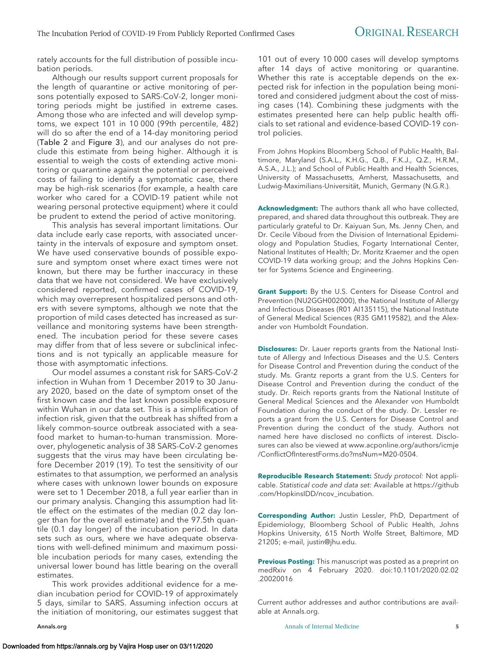rately accounts for the full distribution of possible incubation periods.

Although our results support current proposals for the length of quarantine or active monitoring of persons potentially exposed to SARS-CoV-2, longer monitoring periods might be justified in extreme cases. Among those who are infected and will develop symptoms, we expect 101 in 10 000 (99th percentile, 482) will do so after the end of a 14-day monitoring period (Table 2 and Figure 3), and our analyses do not preclude this estimate from being higher. Although it is essential to weigh the costs of extending active monitoring or quarantine against the potential or perceived costs of failing to identify a symptomatic case, there may be high-risk scenarios (for example, a health care worker who cared for a COVID-19 patient while not wearing personal protective equipment) where it could be prudent to extend the period of active monitoring.

This analysis has several important limitations. Our data include early case reports, with associated uncertainty in the intervals of exposure and symptom onset. We have used conservative bounds of possible exposure and symptom onset where exact times were not known, but there may be further inaccuracy in these data that we have not considered. We have exclusively considered reported, confirmed cases of COVID-19, which may overrepresent hospitalized persons and others with severe symptoms, although we note that the proportion of mild cases detected has increased as surveillance and monitoring systems have been strengthened. The incubation period for these severe cases may differ from that of less severe or subclinical infections and is not typically an applicable measure for those with asymptomatic infections.

Our model assumes a constant risk for SARS-CoV-2 infection in Wuhan from 1 December 2019 to 30 January 2020, based on the date of symptom onset of the first known case and the last known possible exposure within Wuhan in our data set. This is a simplification of infection risk, given that the outbreak has shifted from a likely common-source outbreak associated with a seafood market to human-to-human transmission. Moreover, phylogenetic analysis of 38 SARS-CoV-2 genomes suggests that the virus may have been circulating before December 2019 (19). To test the sensitivity of our estimates to that assumption, we performed an analysis where cases with unknown lower bounds on exposure were set to 1 December 2018, a full year earlier than in our primary analysis. Changing this assumption had little effect on the estimates of the median (0.2 day longer than for the overall estimate) and the 97.5th quantile (0.1 day longer) of the incubation period. In data sets such as ours, where we have adequate observations with well-defined minimum and maximum possible incubation periods for many cases, extending the universal lower bound has little bearing on the overall estimates.

This work provides additional evidence for a median incubation period for COVID-19 of approximately 5 days, similar to SARS. Assuming infection occurs at the initiation of monitoring, our estimates suggest that

101 out of every 10 000 cases will develop symptoms after 14 days of active monitoring or quarantine. Whether this rate is acceptable depends on the expected risk for infection in the population being monitored and considered judgment about the cost of missing cases (14). Combining these judgments with the estimates presented here can help public health officials to set rational and evidence-based COVID-19 control policies.

From Johns Hopkins Bloomberg School of Public Health, Baltimore, Maryland (S.A.L., K.H.G., Q.B., F.K.J., Q.Z., H.R.M., A.S.A., J.L.); and School of Public Health and Health Sciences, University of Massachusetts, Amherst, Massachusetts, and Ludwig-Maximilians-Universität, Munich, Germany (N.G.R.).

**Acknowledgment:** The authors thank all who have collected, prepared, and shared data throughout this outbreak. They are particularly grateful to Dr. Kaiyuan Sun, Ms. Jenny Chen, and Dr. Cecile Viboud from the Division of International Epidemiology and Population Studies, Fogarty International Center, National Institutes of Health; Dr. Moritz Kraemer and the open COVID-19 data working group; and the Johns Hopkins Center for Systems Science and Engineering.

**Grant Support:** By the U.S. Centers for Disease Control and Prevention (NU2GGH002000), the National Institute of Allergy and Infectious Diseases (R01 AI135115), the National Institute of General Medical Sciences (R35 GM119582), and the Alexander von Humboldt Foundation.

**Disclosures:** Dr. Lauer reports grants from the National Institute of Allergy and Infectious Diseases and the U.S. Centers for Disease Control and Prevention during the conduct of the study. Ms. Grantz reports a grant from the U.S. Centers for Disease Control and Prevention during the conduct of the study. Dr. Reich reports grants from the National Institute of General Medical Sciences and the Alexander von Humboldt Foundation during the conduct of the study. Dr. Lessler reports a grant from the U.S. Centers for Disease Control and Prevention during the conduct of the study. Authors not named here have disclosed no conflicts of interest. Disclosures can also be viewed at [www.acponline.org/authors/icmje](http://www.acponline.org/authors/icmje/ConflictOfInterestForms.do?msNum=M20-0504) [/ConflictOfInterestForms.do?msNum=M20-0504.](http://www.acponline.org/authors/icmje/ConflictOfInterestForms.do?msNum=M20-0504)

**Reproducible Research Statement:** Study protocol: Not applicable. Statistical code and data set: Available at [https://github](https://github.com/HopkinsIDD/ncov_incubation) [.com/HopkinsIDD/ncov\\_incubation.](https://github.com/HopkinsIDD/ncov_incubation)

**Corresponding Author:** Justin Lessler, PhD, Department of Epidemiology, Bloomberg School of Public Health, Johns Hopkins University, 615 North Wolfe Street, Baltimore, MD 21205; e-mail, [justin@jhu.edu.](mailto:justin@jhu.edu)

**Previous Posting:** This manuscript was posted as a preprint on medRxiv on 4 February 2020. doi:10.1101/2020.02.02 .20020016

Current author addresses and author contributions are available at [Annals.org.](http://www.annals.org)

[Annals.org](http://www.annals.org) **Annals of Internal Medicine** 5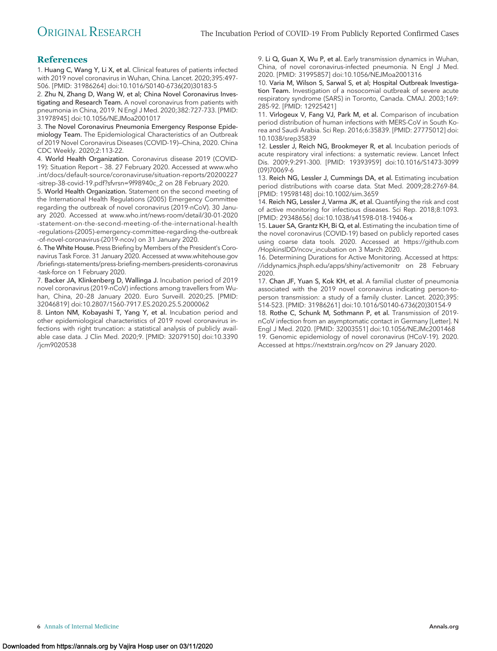### **References**

1. Huang C, Wang Y, Li X, et al. Clinical features of patients infected with 2019 novel coronavirus in Wuhan, China. Lancet. 2020;395:497- 506. [PMID: 31986264] doi:10.1016/S0140-6736(20)30183-5

2. Zhu N, Zhang D, Wang W, et al; China Novel Coronavirus Investigating and Research Team. A novel coronavirus from patients with pneumonia in China, 2019. N Engl J Med. 2020;382:727-733. [PMID: 31978945] doi:10.1056/NEJMoa2001017

3. The Novel Coronavirus Pneumonia Emergency Response Epidemiology Team. The Epidemiological Characteristics of an Outbreak of 2019 Novel Coronavirus Diseases (COVID-19)—China, 2020. China CDC Weekly. 2020;2:113-22.

4. World Health Organization. Coronavirus disease 2019 (COVID-19): Situation Report – 38. 27 February 2020. Accessed at [www.who](http://www.who.int/docs/default-source/coronaviruse/situation-reports/20200227-sitrep-38-covid-19.pdf?sfvrsn=9f98940c_2) [.int/docs/default-source/coronaviruse/situation-reports/20200227](http://www.who.int/docs/default-source/coronaviruse/situation-reports/20200227-sitrep-38-covid-19.pdf?sfvrsn=9f98940c_2) [-sitrep-38-covid-19.pdf?sfvrsn=9f98940c\\_2](http://www.who.int/docs/default-source/coronaviruse/situation-reports/20200227-sitrep-38-covid-19.pdf?sfvrsn=9f98940c_2) on 28 February 2020.

5. World Health Organization. Statement on the second meeting of the International Health Regulations (2005) Emergency Committee regarding the outbreak of novel coronavirus (2019-nCoV). 30 January 2020. Accessed at [www.who.int/news-room/detail/30-01-2020](http://www.who.int/news-room/detail/30-01-2020-statement-on-the-second-meeting-of-the-international-health-regulations-(2005)-emergency-committee-regarding-the-outbreak-of-novel-coronavirus-(2019-ncov)) [-statement-on-the-second-meeting-of-the-international-health](http://www.who.int/news-room/detail/30-01-2020-statement-on-the-second-meeting-of-the-international-health-regulations-(2005)-emergency-committee-regarding-the-outbreak-of-novel-coronavirus-(2019-ncov)) [-regulations-\(2005\)-emergency-committee-regarding-the-outbreak](http://www.who.int/news-room/detail/30-01-2020-statement-on-the-second-meeting-of-the-international-health-regulations-(2005)-emergency-committee-regarding-the-outbreak-of-novel-coronavirus-(2019-ncov)) [-of-novel-coronavirus-\(2019-ncov\)](http://www.who.int/news-room/detail/30-01-2020-statement-on-the-second-meeting-of-the-international-health-regulations-(2005)-emergency-committee-regarding-the-outbreak-of-novel-coronavirus-(2019-ncov)) on 31 January 2020.

6. TheWhite House. Press Briefing by Members of the President's Coronavirus Task Force. 31 January 2020. Accessed at [www.whitehouse.gov](http://www.whitehouse.gov/briefings-statements/press-briefing-members-presidents-coronavirus-task-force) [/briefings-statements/press-briefing-members-presidents-coronavirus](http://www.whitehouse.gov/briefings-statements/press-briefing-members-presidents-coronavirus-task-force) [-task-force](http://www.whitehouse.gov/briefings-statements/press-briefing-members-presidents-coronavirus-task-force) on 1 February 2020.

7. Backer JA, Klinkenberg D, Wallinga J. Incubation period of 2019 novel coronavirus (2019-nCoV) infections among travellers from Wuhan, China, 20 –28 January 2020. Euro Surveill. 2020;25. [PMID: 32046819] doi:10.2807/1560-7917.ES.2020.25.5.2000062

8. Linton NM, Kobayashi T, Yang Y, et al. Incubation period and other epidemiological characteristics of 2019 novel coronavirus infections with right truncation: a statistical analysis of publicly available case data. J Clin Med. 2020;9. [PMID: 32079150] doi:10.3390 /jcm9020538

9. Li Q, Guan X, Wu P, et al. Early transmission dynamics in Wuhan, China, of novel coronavirus-infected pneumonia. N Engl J Med. 2020. [PMID: 31995857] doi:10.1056/NEJMoa2001316

10. Varia M, Wilson S, Sarwal S, et al; Hospital Outbreak Investigation Team. Investigation of a nosocomial outbreak of severe acute respiratory syndrome (SARS) in Toronto, Canada. CMAJ. 2003;169: 285-92. [PMID: 12925421]

11. Virlogeux V, Fang VJ, Park M, et al. Comparison of incubation period distribution of human infections with MERS-CoV in South Korea and Saudi Arabia. Sci Rep. 2016;6:35839. [PMID: 27775012] doi: 10.1038/srep35839

12. Lessler J, Reich NG, Brookmeyer R, et al. Incubation periods of acute respiratory viral infections: a systematic review. Lancet Infect Dis. 2009;9:291-300. [PMID: 19393959] doi:10.1016/S1473-3099 (09)70069-6

13. Reich NG, Lessler J, Cummings DA, et al. Estimating incubation period distributions with coarse data. Stat Med. 2009;28:2769-84. [PMID: 19598148] doi:10.1002/sim.3659

14. Reich NG, Lessler J, Varma JK, et al. Quantifying the risk and cost of active monitoring for infectious diseases. Sci Rep. 2018;8:1093. [PMID: 29348656] doi:10.1038/s41598-018-19406-x

15. Lauer SA, Grantz KH, Bi Q, et al. Estimating the incubation time of the novel coronavirus (COVID-19) based on publicly reported cases using coarse data tools. 2020. Accessed at [https://github.com](https://github.com/HopkinsIDD/ncov_incubation) [/HopkinsIDD/ncov\\_incubation](https://github.com/HopkinsIDD/ncov_incubation) on 3 March 2020.

16. Determining Durations for Active Monitoring. Accessed at [https:](https://iddynamics.jhsph.edu/apps/shiny/activemonitr) [//iddynamics.jhsph.edu/apps/shiny/activemonitr](https://iddynamics.jhsph.edu/apps/shiny/activemonitr) on 28 February 2020.

17. Chan JF, Yuan S, Kok KH, et al. A familial cluster of pneumonia associated with the 2019 novel coronavirus indicating person-toperson transmission: a study of a family cluster. Lancet. 2020;395: 514-523. [PMID: 31986261] doi:10.1016/S0140-6736(20)30154-9

18. Rothe C, Schunk M, Sothmann P, et al. Transmission of 2019 nCoV infection from an asymptomatic contact in Germany [Letter]. N Engl J Med. 2020. [PMID: 32003551] doi:10.1056/NEJMc2001468 19. Genomic epidemiology of novel coronavirus (HCoV-19). 2020. Accessed at<https://nextstrain.org/ncov> on 29 January 2020.